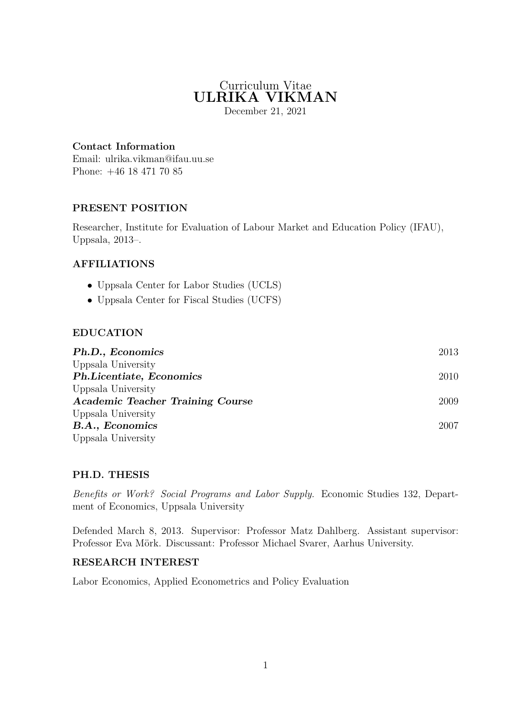# Curriculum Vitae ULRIKA VIKMAN

December 21, 2021

# Contact Information

Email: ulrika.vikman@ifau.uu.se Phone: +46 18 471 70 85

# PRESENT POSITION

Researcher, Institute for Evaluation of Labour Market and Education Policy (IFAU), Uppsala, 2013–.

# AFFILIATIONS

- Uppsala Center for Labor Studies (UCLS)
- Uppsala Center for Fiscal Studies (UCFS)

#### EDUCATION

| Ph.D., Economics                        | 2013 |
|-----------------------------------------|------|
| Uppsala University                      |      |
| Ph.Licentiate, Economics                | 2010 |
| Uppsala University                      |      |
| <b>Academic Teacher Training Course</b> | 2009 |
| Uppsala University                      |      |
| <b>B.A., Economics</b>                  | 2007 |
| Uppsala University                      |      |

#### PH.D. THESIS

Benefits or Work? Social Programs and Labor Supply. Economic Studies 132, Department of Economics, Uppsala University

Defended March 8, 2013. Supervisor: Professor Matz Dahlberg. Assistant supervisor: Professor Eva Mörk. Discussant: Professor Michael Svarer, Aarhus University.

#### RESEARCH INTEREST

Labor Economics, Applied Econometrics and Policy Evaluation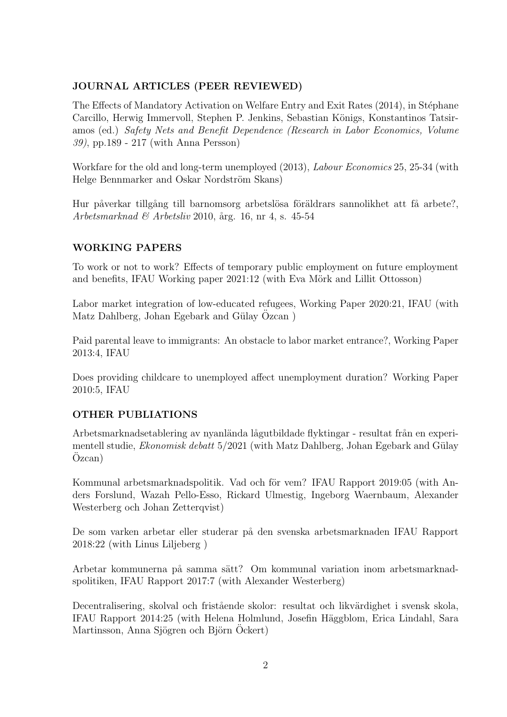#### JOURNAL ARTICLES (PEER REVIEWED)

The Effects of Mandatory Activation on Welfare Entry and Exit Rates (2014), in Stéphane Carcillo, Herwig Immervoll, Stephen P. Jenkins, Sebastian Königs, Konstantinos Tatsiramos (ed.) Safety Nets and Benefit Dependence (Research in Labor Economics, Volume 39), pp.189 - 217 (with Anna Persson)

Workfare for the old and long-term unemployed (2013), *Labour Economics* 25, 25-34 (with Helge Bennmarker and Oskar Nordström Skans)

Hur påverkar tillgång till barnomsorg arbetslösa föräldrars sannolikhet att få arbete?, Arbetsmarknad & Arbetsliv 2010, årg. 16, nr 4, s. 45-54

# WORKING PAPERS

To work or not to work? Effects of temporary public employment on future employment and benefits, IFAU Working paper 2021:12 (with Eva Mörk and Lillit Ottosson)

Labor market integration of low-educated refugees, Working Paper 2020:21, IFAU (with Matz Dahlberg, Johan Egebark and Gülay Ozcan)

Paid parental leave to immigrants: An obstacle to labor market entrance?, Working Paper 2013:4, IFAU

Does providing childcare to unemployed affect unemployment duration? Working Paper 2010:5, IFAU

# OTHER PUBLIATIONS

Arbetsmarknadsetablering av nyanlända lågutbildade flyktingar - resultat från en experimentell studie, *Ekonomisk debatt*  $5/2021$  (with Matz Dahlberg, Johan Egebark and Gülay  $Ozcan)$ 

Kommunal arbetsmarknadspolitik. Vad och för vem? IFAU Rapport 2019:05 (with Anders Forslund, Wazah Pello-Esso, Rickard Ulmestig, Ingeborg Waernbaum, Alexander Westerberg och Johan Zetterqvist)

De som varken arbetar eller studerar på den svenska arbetsmarknaden IFAU Rapport 2018:22 (with Linus Liljeberg )

Arbetar kommunerna på samma sätt? Om kommunal variation inom arbetsmarknadspolitiken, IFAU Rapport 2017:7 (with Alexander Westerberg)

Decentralisering, skolval och fristående skolor: resultat och likvärdighet i svensk skola, IFAU Rapport 2014:25 (with Helena Holmlund, Josefin Häggblom, Erica Lindahl, Sara Martinsson, Anna Sjögren och Björn Ockert)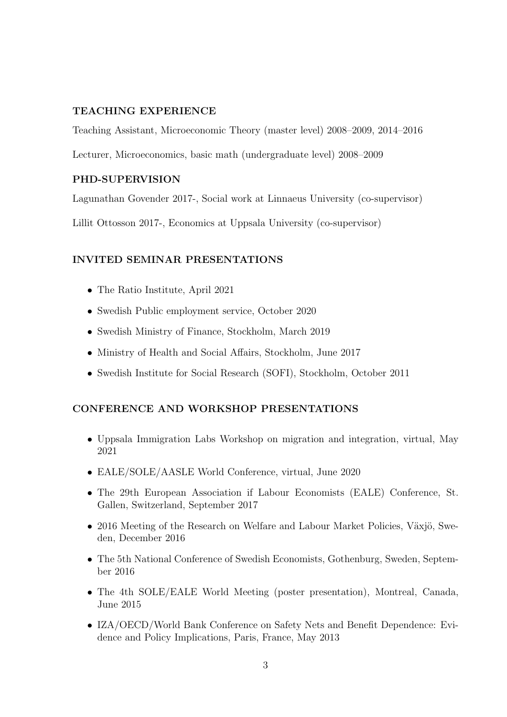#### TEACHING EXPERIENCE

Teaching Assistant, Microeconomic Theory (master level) 2008–2009, 2014–2016

Lecturer, Microeconomics, basic math (undergraduate level) 2008–2009

#### PHD-SUPERVISION

Lagunathan Govender 2017-, Social work at Linnaeus University (co-supervisor)

Lillit Ottosson 2017-, Economics at Uppsala University (co-supervisor)

# INVITED SEMINAR PRESENTATIONS

- The Ratio Institute, April 2021
- Swedish Public employment service, October 2020
- Swedish Ministry of Finance, Stockholm, March 2019
- Ministry of Health and Social Affairs, Stockholm, June 2017
- Swedish Institute for Social Research (SOFI), Stockholm, October 2011

# CONFERENCE AND WORKSHOP PRESENTATIONS

- Uppsala Immigration Labs Workshop on migration and integration, virtual, May 2021
- EALE/SOLE/AASLE World Conference, virtual, June 2020
- The 29th European Association if Labour Economists (EALE) Conference, St. Gallen, Switzerland, September 2017
- 2016 Meeting of the Research on Welfare and Labour Market Policies, Växjö, Sweden, December 2016
- The 5th National Conference of Swedish Economists, Gothenburg, Sweden, September 2016
- The 4th SOLE/EALE World Meeting (poster presentation), Montreal, Canada, June 2015
- IZA/OECD/World Bank Conference on Safety Nets and Benefit Dependence: Evidence and Policy Implications, Paris, France, May 2013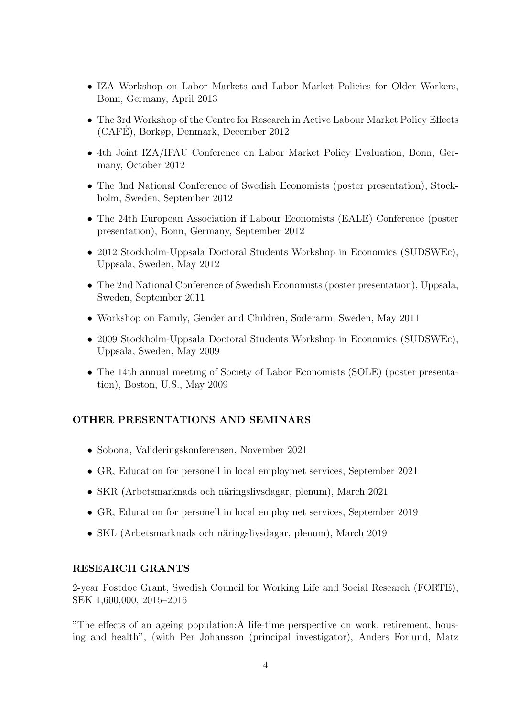- IZA Workshop on Labor Markets and Labor Market Policies for Older Workers, Bonn, Germany, April 2013
- The 3rd Workshop of the Centre for Research in Active Labour Market Policy Effects (CAFE), Borkøp, Denmark, December 2012 ´
- 4th Joint IZA/IFAU Conference on Labor Market Policy Evaluation, Bonn, Germany, October 2012
- The 3nd National Conference of Swedish Economists (poster presentation), Stockholm, Sweden, September 2012
- The 24th European Association if Labour Economists (EALE) Conference (poster presentation), Bonn, Germany, September 2012
- 2012 Stockholm-Uppsala Doctoral Students Workshop in Economics (SUDSWEc), Uppsala, Sweden, May 2012
- The 2nd National Conference of Swedish Economists (poster presentation), Uppsala, Sweden, September 2011
- Workshop on Family, Gender and Children, Söderarm, Sweden, May 2011
- 2009 Stockholm-Uppsala Doctoral Students Workshop in Economics (SUDSWEc), Uppsala, Sweden, May 2009
- The 14th annual meeting of Society of Labor Economists (SOLE) (poster presentation), Boston, U.S., May 2009

# OTHER PRESENTATIONS AND SEMINARS

- Sobona, Valideringskonferensen, November 2021
- GR, Education for personell in local employmet services, September 2021
- SKR (Arbetsmarknads och näringslivsdagar, plenum), March 2021
- GR, Education for personell in local employmet services, September 2019
- SKL (Arbetsmarknads och näringslivsdagar, plenum), March 2019

#### RESEARCH GRANTS

2-year Postdoc Grant, Swedish Council for Working Life and Social Research (FORTE), SEK 1,600,000, 2015–2016

"The effects of an ageing population:A life-time perspective on work, retirement, housing and health", (with Per Johansson (principal investigator), Anders Forlund, Matz